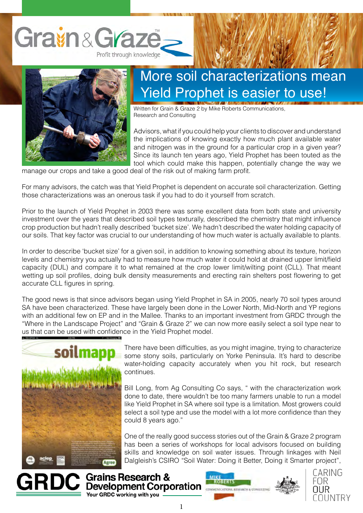



## More soil characterizations mean Yield Prophet is easier to use!

Written for Grain & Graze 2 by Mike Roberts Communications, Research and Consulting

Advisors, what if you could help your clients to discover and understand the implications of knowing exactly how much plant available water and nitrogen was in the ground for a particular crop in a given year? Since its launch ten years ago, Yield Prophet has been touted as the tool which could make this happen, potentially change the way we

manage our crops and take a good deal of the risk out of making farm profit.

For many advisors, the catch was that Yield Prophet is dependent on accurate soil characterization. Getting those characterizations was an onerous task if you had to do it yourself from scratch.

Prior to the launch of Yield Prophet in 2003 there was some excellent data from both state and university investment over the years that described soil types texturally, described the chemistry that might influence crop production but hadn't really described 'bucket size'. We hadn't described the water holding capacity of our soils. That key factor was crucial to our understanding of how much water is actually available to plants.

In order to describe 'bucket size' for a given soil, in addition to knowing something about its texture, horizon levels and chemistry you actually had to measure how much water it could hold at drained upper limit/field capacity (DUL) and compare it to what remained at the crop lower limit/wilting point (CLL). That meant wetting up soil profiles, doing bulk density measurements and erecting rain shelters post flowering to get accurate CLL figures in spring.

The good news is that since advisors began using Yield Prophet in SA in 2005, nearly 70 soil types around SA have been characterized. These have largely been done in the Lower North, Mid-North and YP regions with an additional few on EP and in the Mallee. Thanks to an important investment from GRDC through the "Where in the Landscape Project" and "Grain & Graze 2" we can now more easily select a soil type near to us that can be used with confidence in the Yield Prophet model.



There have been difficulties, as you might imagine, trying to characterize some stony soils, particularly on Yorke Peninsula. It's hard to describe water-holding capacity accurately when you hit rock, but research continues.

Bill Long, from Ag Consulting Co says, " with the characterization work done to date, there wouldn't be too many farmers unable to run a model like Yield Prophet in SA where soil type is a limitation. Most growers could select a soil type and use the model with a lot more confidence than they could 8 years ago."

One of the really good success stories out of the Grain & Graze 2 program has been a series of workshops for local advisors focused on building skills and knowledge on soil water issues. Through linkages with Neil Dalgleish's CSIRO "Soil Water: Doing it Better, Doing it Smarter project",





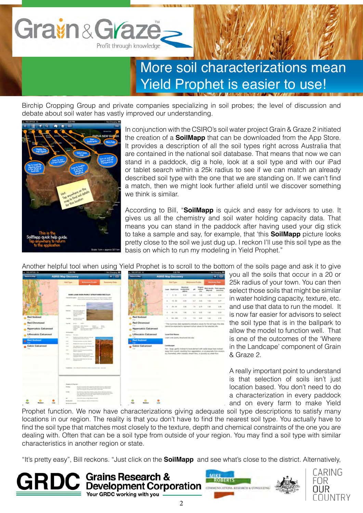

## More soil characterizations mean Yield Prophet is easier to use!

Birchip Cropping Group and private companies specializing in soil probes; the level of discussion and debate about soil water has vastly improved our understanding.



In conjunction with the CSIRO's soil water project Grain & Graze 2 initiated the creation of a **SoilMapp** that can be downloaded from the App Store. It provides a description of all the soil types right across Australia that are contained in the national soil database. That means that now we can stand in a paddock, dig a hole, look at a soil type and with our iPad or tablet search within a 25k radius to see if we can match an already described soil type with the one that we are standing on. If we can't find a match, then we might look further afield until we discover something we think is similar.

According to Bill, "**SoilMapp** is quick and easy for advisors to use. It gives us all the chemistry and soil water holding capacity data. That means you can stand in the paddock after having used your dig stick to take a sample and say, for example, that 'this **SoilMapp** picture looks pretty close to the soil we just dug up. I reckon I'll use this soil type as the basis on which to run my modeling in Yield Prophet."

Another helpful tool when using Yield Prophet is to scroll to the bottom of the soils page and ask it to give



Your GRDC working with you

you all the soils that occur in a 20 or 25k radius of your town. You can then select those soils that might be similar in water holding capacity, texture, etc. and use that data to run the model. It is now far easier for advisors to select the soil type that is in the ballpark to allow the model to function well. That is one of the outcomes of the 'Where in the Landcape' component of Grain & Graze 2.

A really important point to understand is that selection of soils isn't just location based. You don't need to do a characterization in every paddock and on every farm to make Yield

Prophet function. We now have characterizations giving adequate soil type descriptions to satisfy many locations in our region. The reality is that you don't have to find the nearest soil type. You actually have to find the soil type that matches most closely to the texture, depth and chemical constraints of the one you are dealing with. Often that can be a soil type from outside of your region. You may find a soil type with similar characteristics in another region or state.

"It's pretty easy", Bill reckons. "Just click on the **SoilMapp** and see what's close to the district. Alternatively,